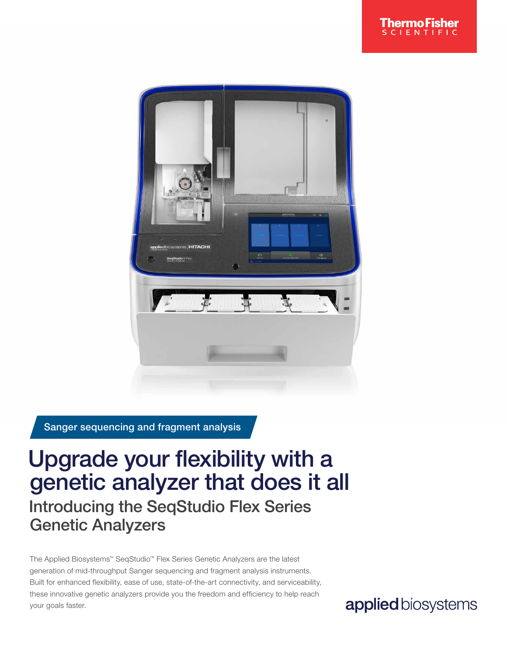

Sanger sequencing and fragment analysis

## Upgrade your flexibility with a genetic analyzer that does it all Introducing the SeqStudio Flex Series Genetic Analyzers

The Applied Biosystems™ SeqStudio™ Flex Series Genetic Analyzers are the latest generation of mid-throughput Sanger sequencing and fragment analysis instruments. Built for enhanced flexibility, ease of use, state-of-the-art connectivity, and serviceability, these innovative genetic analyzers provide you the freedom and efficiency to help reach your goals faster.

applied biosystems